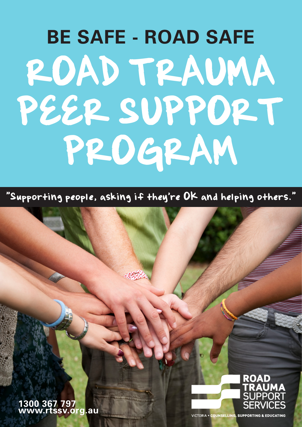# **BE SAFE - ROAD SAFE** ROAD TRAUMA PEER SUPPORT PROGRAM

"Supporting people, asking if they're OK and helping others."





**VICTORIA . COUNSELLING, SUPPORTING & EDUCATING**